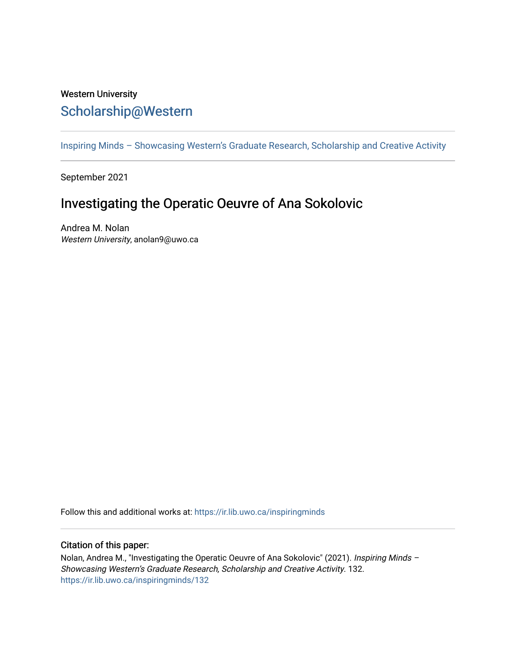## Western University [Scholarship@Western](https://ir.lib.uwo.ca/)

[Inspiring Minds – Showcasing Western's Graduate Research, Scholarship and Creative Activity](https://ir.lib.uwo.ca/inspiringminds) 

September 2021

## Investigating the Operatic Oeuvre of Ana Sokolovic

Andrea M. Nolan Western University, anolan9@uwo.ca

Follow this and additional works at: [https://ir.lib.uwo.ca/inspiringminds](https://ir.lib.uwo.ca/inspiringminds?utm_source=ir.lib.uwo.ca%2Finspiringminds%2F132&utm_medium=PDF&utm_campaign=PDFCoverPages) 

## Citation of this paper:

Nolan, Andrea M., "Investigating the Operatic Oeuvre of Ana Sokolovic" (2021). Inspiring Minds -Showcasing Western's Graduate Research, Scholarship and Creative Activity. 132. [https://ir.lib.uwo.ca/inspiringminds/132](https://ir.lib.uwo.ca/inspiringminds/132?utm_source=ir.lib.uwo.ca%2Finspiringminds%2F132&utm_medium=PDF&utm_campaign=PDFCoverPages)